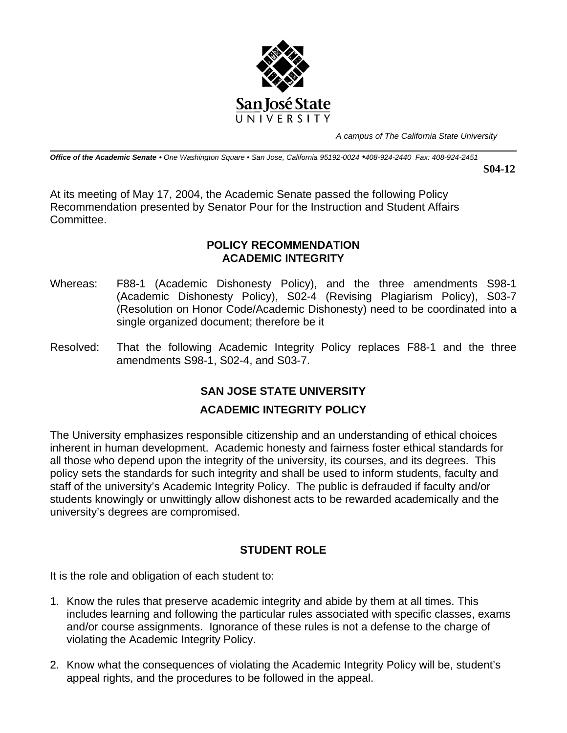

*A campus of The California State University*

*Office of the Academic Senate • One Washington Square • San Jose, California 95192-0024 •408-924-2440 Fax: 408-924-2451* 

**S04-12** 

At its meeting of May 17, 2004, the Academic Senate passed the following Policy Recommendation presented by Senator Pour for the Instruction and Student Affairs Committee.

#### **POLICY RECOMMENDATION ACADEMIC INTEGRITY**

- Whereas: F88-1 (Academic Dishonesty Policy), and the three amendments S98-1 (Academic Dishonesty Policy), S02-4 (Revising Plagiarism Policy), S03-7 (Resolution on Honor Code/Academic Dishonesty) need to be coordinated into a single organized document; therefore be it
- Resolved: That the following Academic Integrity Policy replaces F88-1 and the three amendments S98-1, S02-4, and S03-7.

# **SAN JOSE STATE UNIVERSITY**

# **ACADEMIC INTEGRITY POLICY**

The University emphasizes responsible citizenship and an understanding of ethical choices inherent in human development. Academic honesty and fairness foster ethical standards for all those who depend upon the integrity of the university, its courses, and its degrees. This policy sets the standards for such integrity and shall be used to inform students, faculty and staff of the university's Academic Integrity Policy. The public is defrauded if faculty and/or students knowingly or unwittingly allow dishonest acts to be rewarded academically and the university's degrees are compromised.

# **STUDENT ROLE**

It is the role and obligation of each student to:

- 1. Know the rules that preserve academic integrity and abide by them at all times. This includes learning and following the particular rules associated with specific classes, exams and/or course assignments. Ignorance of these rules is not a defense to the charge of violating the Academic Integrity Policy.
- 2. Know what the consequences of violating the Academic Integrity Policy will be, student's appeal rights, and the procedures to be followed in the appeal.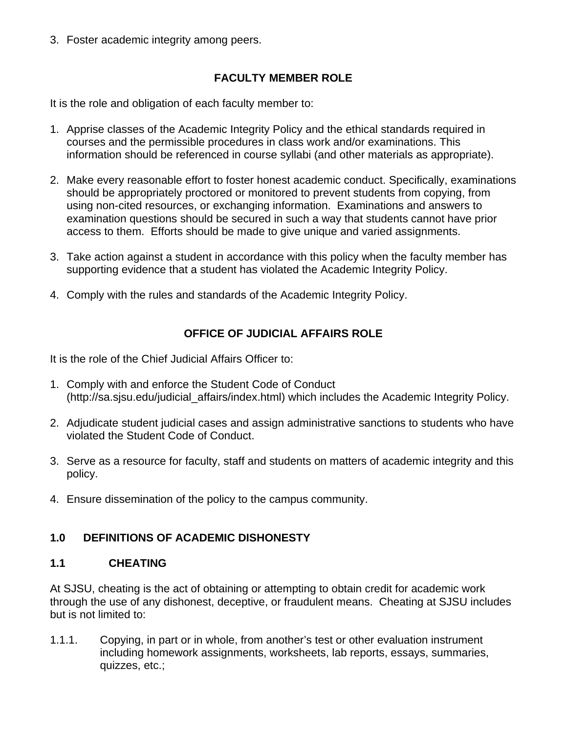3. Foster academic integrity among peers.

# **FACULTY MEMBER ROLE**

It is the role and obligation of each faculty member to:

- 1. Apprise classes of the Academic Integrity Policy and the ethical standards required in courses and the permissible procedures in class work and/or examinations. This information should be referenced in course syllabi (and other materials as appropriate).
- 2. Make every reasonable effort to foster honest academic conduct. Specifically, examinations should be appropriately proctored or monitored to prevent students from copying, from using non-cited resources, or exchanging information. Examinations and answers to examination questions should be secured in such a way that students cannot have prior access to them. Efforts should be made to give unique and varied assignments.
- 3. Take action against a student in accordance with this policy when the faculty member has supporting evidence that a student has violated the Academic Integrity Policy.
- 4. Comply with the rules and standards of the Academic Integrity Policy.

# **OFFICE OF JUDICIAL AFFAIRS ROLE**

It is the role of the Chief Judicial Affairs Officer to:

- 1. Comply with and enforce the Student Code of Conduct (http://sa.sjsu.edu/judicial\_affairs/index.html) which includes the Academic Integrity Policy.
- 2. Adjudicate student judicial cases and assign administrative sanctions to students who have violated the Student Code of Conduct.
- 3. Serve as a resource for faculty, staff and students on matters of academic integrity and this policy.
- 4. Ensure dissemination of the policy to the campus community.

# **1.0 DEFINITIONS OF ACADEMIC DISHONESTY**

# **1.1 CHEATING**

At SJSU, cheating is the act of obtaining or attempting to obtain credit for academic work through the use of any dishonest, deceptive, or fraudulent means. Cheating at SJSU includes but is not limited to:

1.1.1. Copying, in part or in whole, from another's test or other evaluation instrument including homework assignments, worksheets, lab reports, essays, summaries, quizzes, etc.;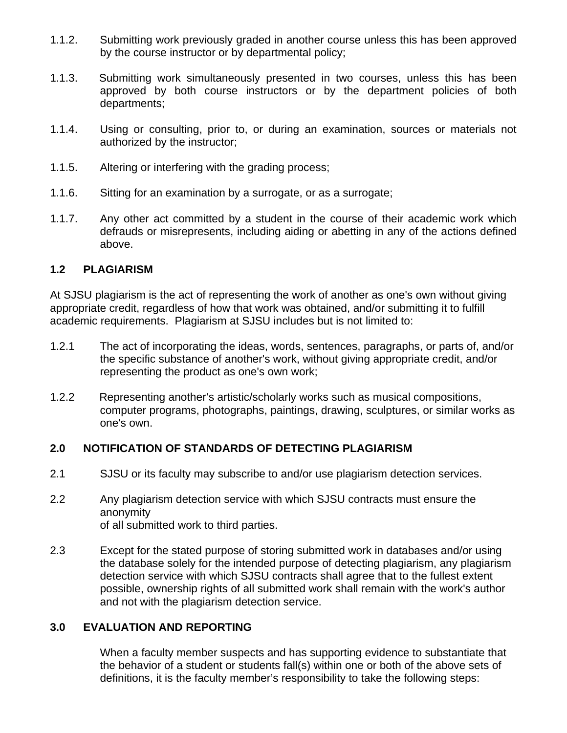- 1.1.2. Submitting work previously graded in another course unless this has been approved by the course instructor or by departmental policy;
- 1.1.3. Submitting work simultaneously presented in two courses, unless this has been approved by both course instructors or by the department policies of both departments;
- 1.1.4. Using or consulting, prior to, or during an examination, sources or materials not authorized by the instructor;
- 1.1.5. Altering or interfering with the grading process;
- 1.1.6. Sitting for an examination by a surrogate, or as a surrogate;
- 1.1.7. Any other act committed by a student in the course of their academic work which defrauds or misrepresents, including aiding or abetting in any of the actions defined above.

#### **1.2 PLAGIARISM**

At SJSU plagiarism is the act of representing the work of another as one's own without giving appropriate credit, regardless of how that work was obtained, and/or submitting it to fulfill academic requirements. Plagiarism at SJSU includes but is not limited to:

- 1.2.1 The act of incorporating the ideas, words, sentences, paragraphs, or parts of, and/or the specific substance of another's work, without giving appropriate credit, and/or representing the product as one's own work;
- 1.2.2 Representing another's artistic/scholarly works such as musical compositions, computer programs, photographs, paintings, drawing, sculptures, or similar works as one's own.

#### **2.0 NOTIFICATION OF STANDARDS OF DETECTING PLAGIARISM**

- 2.1 SJSU or its faculty may subscribe to and/or use plagiarism detection services.
- 2.2 Any plagiarism detection service with which SJSU contracts must ensure the anonymity of all submitted work to third parties.
- 2.3 Except for the stated purpose of storing submitted work in databases and/or using the database solely for the intended purpose of detecting plagiarism, any plagiarism detection service with which SJSU contracts shall agree that to the fullest extent possible, ownership rights of all submitted work shall remain with the work's author and not with the plagiarism detection service.

### **3.0 EVALUATION AND REPORTING**

When a faculty member suspects and has supporting evidence to substantiate that the behavior of a student or students fall(s) within one or both of the above sets of definitions, it is the faculty member's responsibility to take the following steps: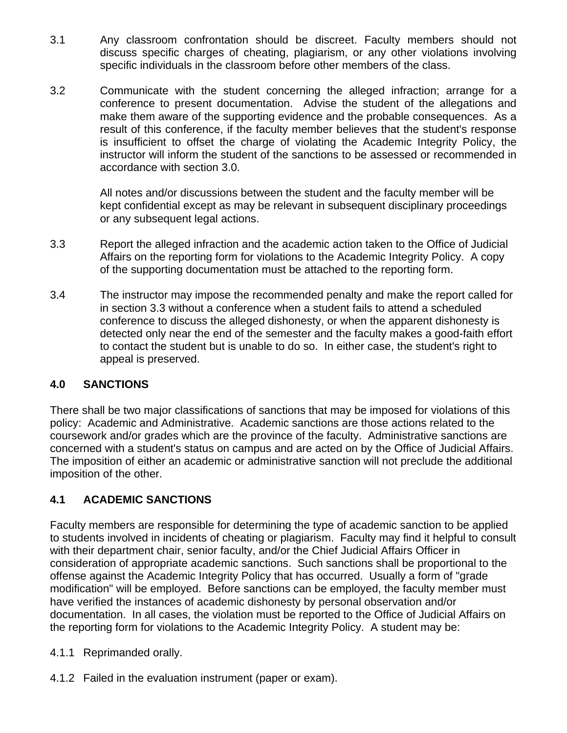- 3.1 Any classroom confrontation should be discreet. Faculty members should not discuss specific charges of cheating, plagiarism, or any other violations involving specific individuals in the classroom before other members of the class.
- 3.2 Communicate with the student concerning the alleged infraction; arrange for a conference to present documentation. Advise the student of the allegations and make them aware of the supporting evidence and the probable consequences. As a result of this conference, if the faculty member believes that the student's response is insufficient to offset the charge of violating the Academic Integrity Policy, the instructor will inform the student of the sanctions to be assessed or recommended in accordance with section 3.0.

All notes and/or discussions between the student and the faculty member will be kept confidential except as may be relevant in subsequent disciplinary proceedings or any subsequent legal actions.

- 3.3 Report the alleged infraction and the academic action taken to the Office of Judicial Affairs on the reporting form for violations to the Academic Integrity Policy. A copy of the supporting documentation must be attached to the reporting form.
- 3.4 The instructor may impose the recommended penalty and make the report called for in section 3.3 without a conference when a student fails to attend a scheduled conference to discuss the alleged dishonesty, or when the apparent dishonesty is detected only near the end of the semester and the faculty makes a good-faith effort to contact the student but is unable to do so. In either case, the student's right to appeal is preserved.

# **4.0 SANCTIONS**

There shall be two major classifications of sanctions that may be imposed for violations of this policy: Academic and Administrative. Academic sanctions are those actions related to the coursework and/or grades which are the province of the faculty. Administrative sanctions are concerned with a student's status on campus and are acted on by the Office of Judicial Affairs. The imposition of either an academic or administrative sanction will not preclude the additional imposition of the other.

# **4.1 ACADEMIC SANCTIONS**

Faculty members are responsible for determining the type of academic sanction to be applied to students involved in incidents of cheating or plagiarism. Faculty may find it helpful to consult with their department chair, senior faculty, and/or the Chief Judicial Affairs Officer in consideration of appropriate academic sanctions. Such sanctions shall be proportional to the offense against the Academic Integrity Policy that has occurred. Usually a form of "grade modification" will be employed. Before sanctions can be employed, the faculty member must have verified the instances of academic dishonesty by personal observation and/or documentation. In all cases, the violation must be reported to the Office of Judicial Affairs on the reporting form for violations to the Academic Integrity Policy. A student may be:

- 4.1.1 Reprimanded orally.
- 4.1.2 Failed in the evaluation instrument (paper or exam).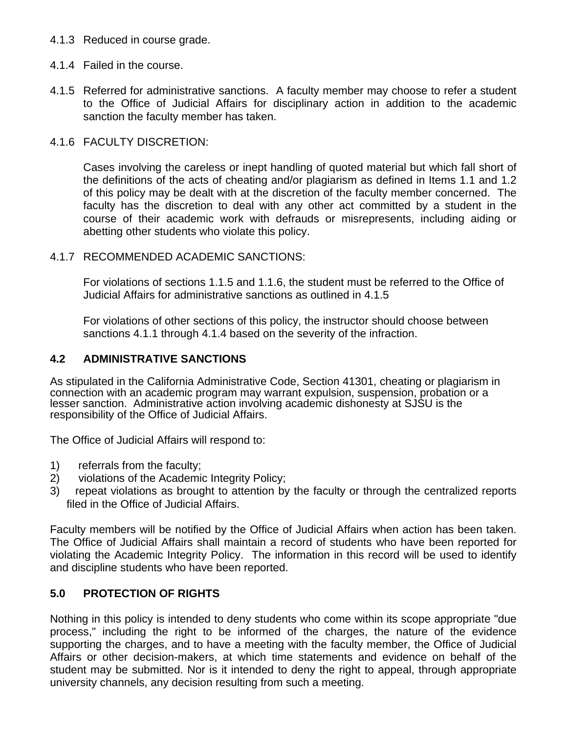- 4.1.3 Reduced in course grade.
- 4.1.4 Failed in the course.
- 4.1.5 Referred for administrative sanctions. A faculty member may choose to refer a student to the Office of Judicial Affairs for disciplinary action in addition to the academic sanction the faculty member has taken.

### 4.1.6 FACULTY DISCRETION:

Cases involving the careless or inept handling of quoted material but which fall short of the definitions of the acts of cheating and/or plagiarism as defined in Items 1.1 and 1.2 of this policy may be dealt with at the discretion of the faculty member concerned. The faculty has the discretion to deal with any other act committed by a student in the course of their academic work with defrauds or misrepresents, including aiding or abetting other students who violate this policy.

### 4.1.7 RECOMMENDED ACADEMIC SANCTIONS:

For violations of sections 1.1.5 and 1.1.6, the student must be referred to the Office of Judicial Affairs for administrative sanctions as outlined in 4.1.5

For violations of other sections of this policy, the instructor should choose between sanctions 4.1.1 through 4.1.4 based on the severity of the infraction.

# **4.2 ADMINISTRATIVE SANCTIONS**

As stipulated in the California Administrative Code, Section 41301, cheating or plagiarism in connection with an academic program may warrant expulsion, suspension, probation or a lesser sanction. Administrative action involving academic dishonesty at SJSU is the responsibility of the Office of Judicial Affairs.

The Office of Judicial Affairs will respond to:

- 1) referrals from the faculty;
- 2) violations of the Academic Integrity Policy;
- 3) repeat violations as brought to attention by the faculty or through the centralized reports filed in the Office of Judicial Affairs.

Faculty members will be notified by the Office of Judicial Affairs when action has been taken. The Office of Judicial Affairs shall maintain a record of students who have been reported for violating the Academic Integrity Policy. The information in this record will be used to identify and discipline students who have been reported.

# **5.0 PROTECTION OF RIGHTS**

Nothing in this policy is intended to deny students who come within its scope appropriate "due process," including the right to be informed of the charges, the nature of the evidence supporting the charges, and to have a meeting with the faculty member, the Office of Judicial Affairs or other decision-makers, at which time statements and evidence on behalf of the student may be submitted. Nor is it intended to deny the right to appeal, through appropriate university channels, any decision resulting from such a meeting.